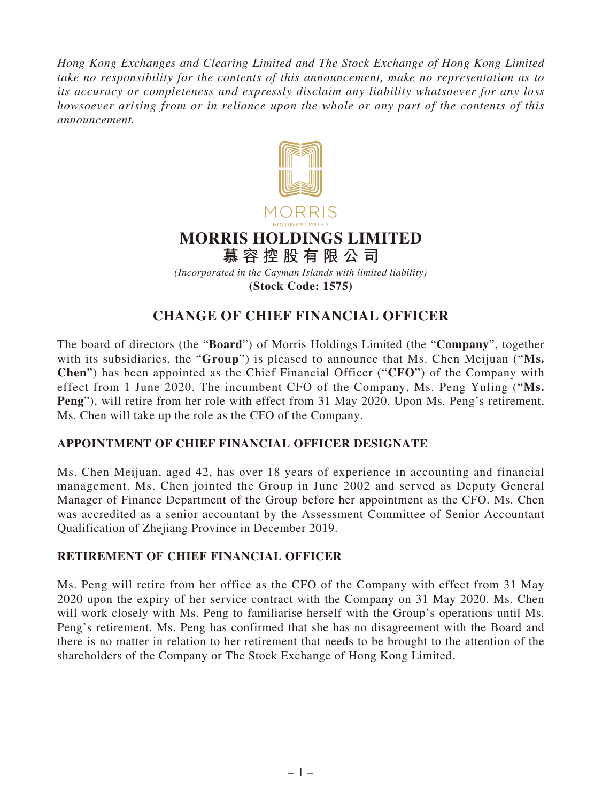*Hong Kong Exchanges and Clearing Limited and The Stock Exchange of Hong Kong Limited take no responsibility for the contents of this announcement, make no representation as to its accuracy or completeness and expressly disclaim any liability whatsoever for any loss howsoever arising from or in reliance upon the whole or any part of the contents of this announcement.*



## **CHANGE OF CHIEF FINANCIAL OFFICER**

The board of directors (the "**Board**") of Morris Holdings Limited (the "**Company**", together with its subsidiaries, the "**Group**") is pleased to announce that Ms. Chen Meijuan ("**Ms. Chen**") has been appointed as the Chief Financial Officer ("**CFO**") of the Company with effect from 1 June 2020. The incumbent CFO of the Company, Ms. Peng Yuling ("**Ms. Peng**"), will retire from her role with effect from 31 May 2020. Upon Ms. Peng's retirement, Ms. Chen will take up the role as the CFO of the Company.

## **APPOINTMENT OF CHIEF FINANCIAL OFFICER DESIGNATE**

Ms. Chen Meijuan, aged 42, has over 18 years of experience in accounting and financial management. Ms. Chen jointed the Group in June 2002 and served as Deputy General Manager of Finance Department of the Group before her appointment as the CFO. Ms. Chen was accredited as a senior accountant by the Assessment Committee of Senior Accountant Qualification of Zhejiang Province in December 2019.

## **RETIREMENT OF CHIEF FINANCIAL OFFICER**

Ms. Peng will retire from her office as the CFO of the Company with effect from 31 May 2020 upon the expiry of her service contract with the Company on 31 May 2020. Ms. Chen will work closely with Ms. Peng to familiarise herself with the Group's operations until Ms. Peng's retirement. Ms. Peng has confirmed that she has no disagreement with the Board and there is no matter in relation to her retirement that needs to be brought to the attention of the shareholders of the Company or The Stock Exchange of Hong Kong Limited.